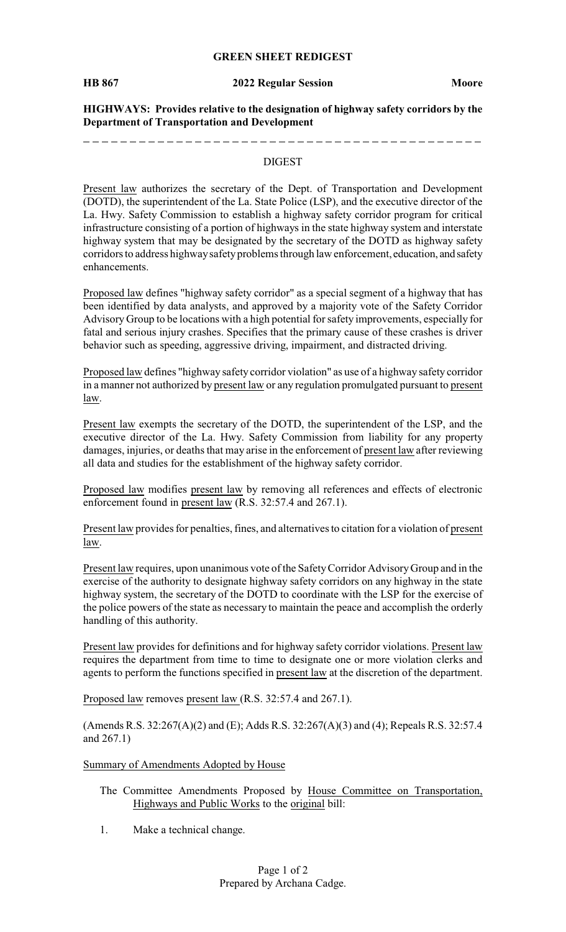#### **GREEN SHEET REDIGEST**

#### **HB 867 2022 Regular Session Moore**

**HIGHWAYS: Provides relative to the designation of highway safety corridors by the Department of Transportation and Development**

#### DIGEST

Present law authorizes the secretary of the Dept. of Transportation and Development (DOTD), the superintendent of the La. State Police (LSP), and the executive director of the La. Hwy. Safety Commission to establish a highway safety corridor program for critical infrastructure consisting of a portion of highways in the state highway system and interstate highway system that may be designated by the secretary of the DOTD as highway safety corridors to address highway safety problems through law enforcement, education, and safety enhancements.

Proposed law defines "highway safety corridor" as a special segment of a highway that has been identified by data analysts, and approved by a majority vote of the Safety Corridor Advisory Group to be locations with a high potential for safety improvements, especially for fatal and serious injury crashes. Specifies that the primary cause of these crashes is driver behavior such as speeding, aggressive driving, impairment, and distracted driving.

Proposed law defines "highway safety corridor violation" as use of a highway safety corridor in a manner not authorized by present law or any regulation promulgated pursuant to present law.

Present law exempts the secretary of the DOTD, the superintendent of the LSP, and the executive director of the La. Hwy. Safety Commission from liability for any property damages, injuries, or deaths that may arise in the enforcement of present law after reviewing all data and studies for the establishment of the highway safety corridor.

Proposed law modifies present law by removing all references and effects of electronic enforcement found in present law (R.S. 32:57.4 and 267.1).

Present law provides for penalties, fines, and alternatives to citation for a violation of present law.

Present law requires, upon unanimous vote of the SafetyCorridor AdvisoryGroup and in the exercise of the authority to designate highway safety corridors on any highway in the state highway system, the secretary of the DOTD to coordinate with the LSP for the exercise of the police powers of the state as necessary to maintain the peace and accomplish the orderly handling of this authority.

Present law provides for definitions and for highway safety corridor violations. Present law requires the department from time to time to designate one or more violation clerks and agents to perform the functions specified in present law at the discretion of the department.

Proposed law removes present law (R.S. 32:57.4 and 267.1).

(Amends R.S. 32:267(A)(2) and (E); Adds R.S. 32:267(A)(3) and (4); Repeals R.S. 32:57.4 and 267.1)

### Summary of Amendments Adopted by House

- The Committee Amendments Proposed by House Committee on Transportation, Highways and Public Works to the original bill:
- 1. Make a technical change.